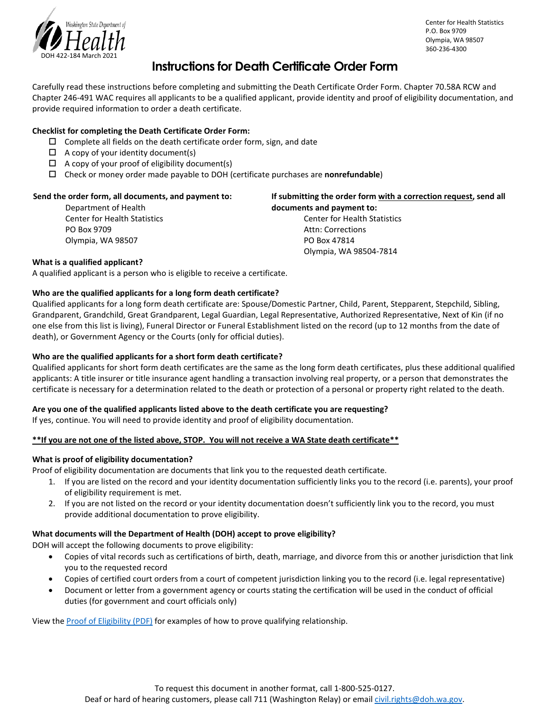

#### Center for Health Statistics P.O. Box 9709 Olympia, WA 98507 360-236-4300

## **Instructions for Death Certificate Order Form**

Carefully read these instructions before completing and submitting the Death Certificate Order Form. Chapter 70.58A RCW and Chapter 246-491 WAC requires all applicants to be a qualified applicant, provide identity and proof of eligibility documentation, and provide required information to order a death certificate.

### **Checklist for completing the Death Certificate Order Form:**

- $\square$  Complete all fields on the death certificate order form, sign, and date
- $\Box$  A copy of your identity document(s)
- $\Box$  A copy of your proof of eligibility document(s)
- Check or money order made payable to DOH (certificate purchases are **nonrefundable**)

| Send the order form, all documents, and payment to: | If submitting the order form with a correction request, send all |
|-----------------------------------------------------|------------------------------------------------------------------|
| Department of Health                                | documents and payment to:                                        |
| <b>Center for Health Statistics</b>                 | <b>Center for Health Statistics</b>                              |
| PO Box 9709                                         | Attn: Corrections                                                |
| Olympia, WA 98507                                   | PO Box 47814                                                     |
|                                                     | Olympia, WA 98504-7814                                           |
| What is a qualified applicant?                      |                                                                  |

A qualified applicant is a person who is eligible to receive a certificate.

#### **Who are the qualified applicants for a long form death certificate?**

Qualified applicants for a long form death certificate are: Spouse/Domestic Partner, Child, Parent, Stepparent, Stepchild, Sibling, Grandparent, Grandchild, Great Grandparent, Legal Guardian, Legal Representative, Authorized Representative, Next of Kin (if no one else from this list is living), Funeral Director or Funeral Establishment listed on the record (up to 12 months from the date of death), or Government Agency or the Courts (only for official duties).

#### **Who are the qualified applicants for a short form death certificate?**

Qualified applicants for short form death certificates are the same as the long form death certificates, plus these additional qualified applicants: A title insurer or title insurance agent handling a transaction involving real property, or a person that demonstrates the certificate is necessary for a determination related to the death or protection of a personal or property right related to the death.

#### **Are you one of the qualified applicants listed above to the death certificate you are requesting?**

If yes, continue. You will need to provide identity and proof of eligibility documentation.

#### **\*\*If you are not one of the listed above, STOP. You will not receive a WA State death certificate\*\***

#### **What is proof of eligibility documentation?**

Proof of eligibility documentation are documents that link you to the requested death certificate.

- 1. If you are listed on the record and your identity documentation sufficiently links you to the record (i.e. parents), your proof of eligibility requirement is met.
- 2. If you are not listed on the record or your identity documentation doesn't sufficiently link you to the record, you must provide additional documentation to prove eligibility.

#### **What documents will the Department of Health (DOH) accept to prove eligibility?**

DOH will accept the following documents to prove eligibility:

- Copies of vital records such as certifications of birth, death, marriage, and divorce from this or another jurisdiction that link you to the requested record
- Copies of certified court orders from a court of competent jurisdiction linking you to the record (i.e. legal representative)
- Document or letter from a government agency or courts stating the certification will be used in the conduct of official duties (for government and court officials only)

View the [Proof of Eligibility \(PDF\)](https://www.doh.wa.gov/Portals/1/Documents/Pubs/422-178-AcceptableProofsOfEligibilityDocument.pdf) for examples of how to prove qualifying relationship.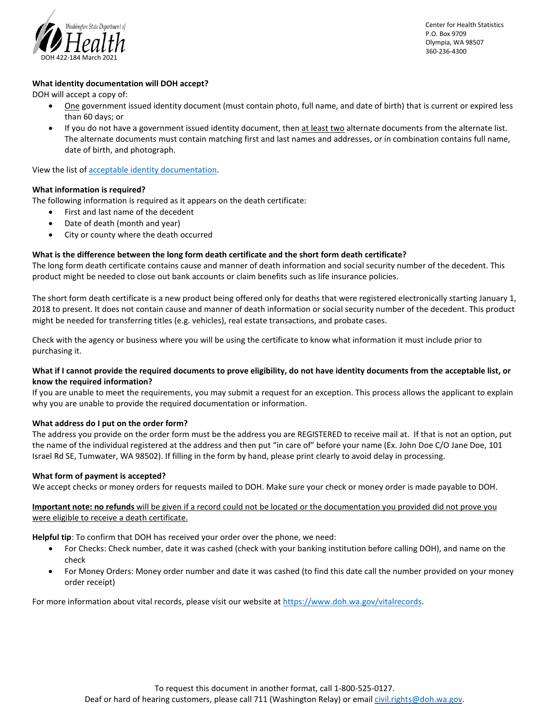

Center for Health Statistics P.O. Box 9709 Olympia, WA 98507 360-236-4300

#### **What identity documentation will DOH accept?**

DOH will accept a copy of:

- One government issued identity document (must contain photo, full name, and date of birth) that is current or expired less than 60 days; or
- If you do not have a government issued identity document, then at least two alternate documents from the alternate list. The alternate documents must contain matching first and last names and addresses, or in combination contains full name, date of birth, and photograph.

View the list of [acceptable identity documentation.](https://www.doh.wa.gov/Portals/1/Documents/Pubs/422-177-AcceptableProofsOfIdentityDocuments.pdf) 

#### **What information is required?**

The following information is required as it appears on the death certificate:

- First and last name of the decedent
- Date of death (month and year)
- City or county where the death occurred

#### **What is the difference between the long form death certificate and the short form death certificate?**

The long form death certificate contains cause and manner of death information and social security number of the decedent. This product might be needed to close out bank accounts or claim benefits such as life insurance policies.

The short form death certificate is a new product being offered only for deaths that were registered electronically starting January 1, 2018 to present. It does not contain cause and manner of death information or social security number of the decedent. This product might be needed for transferring titles (e.g. vehicles), real estate transactions, and probate cases.

Check with the agency or business where you will be using the certificate to know what information it must include prior to purchasing it.

#### **What if I cannot provide the required documents to prove eligibility, do not have identity documents from the acceptable list, or know the required information?**

If you are unable to meet the requirements, you may submit a request for an exception. This process allows the applicant to explain why you are unable to provide the required documentation or information.

#### **What address do I put on the order form?**

The address you provide on the order form must be the address you are REGISTERED to receive mail at. If that is not an option, put the name of the individual registered at the address and then put "in care of" before your name (Ex. John Doe C/O Jane Doe, 101 Israel Rd SE, Tumwater, WA 98502). If filling in the form by hand, please print clearly to avoid delay in processing.

#### **What form of payment is accepted?**

We accept checks or money orders for requests mailed to DOH. Make sure your check or money order is made payable to DOH.

**Important note: no refunds** will be given if a record could not be located or the documentation you provided did not prove you were eligible to receive a death certificate.

**Helpful tip**: To confirm that DOH has received your order over the phone, we need:

- For Checks: Check number, date it was cashed (check with your banking institution before calling DOH), and name on the check
- For Money Orders: Money order number and date it was cashed (to find this date call the number provided on your money order receipt)

For more information about vital records, please visit our website at [https://www.doh.wa.gov/vitalrecords.](https://www.doh.wa.gov/vitalrecords)